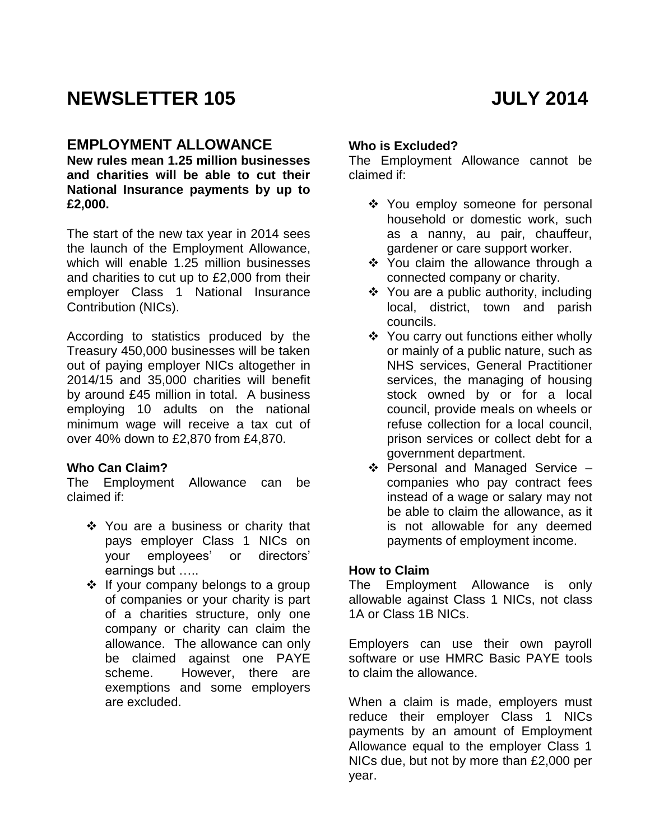# **NEWSLETTER 105 JULY 2014**

## **EMPLOYMENT ALLOWANCE**

**New rules mean 1.25 million businesses and charities will be able to cut their National Insurance payments by up to £2,000.**

The start of the new tax year in 2014 sees the launch of the Employment Allowance, which will enable 1.25 million businesses and charities to cut up to £2,000 from their employer Class 1 National Insurance Contribution (NICs).

According to statistics produced by the Treasury 450,000 businesses will be taken out of paying employer NICs altogether in 2014/15 and 35,000 charities will benefit by around £45 million in total. A business employing 10 adults on the national minimum wage will receive a tax cut of over 40% down to £2,870 from £4,870.

#### **Who Can Claim?**

The Employment Allowance can be claimed if:

- ❖ You are a business or charity that pays employer Class 1 NICs on your employees' or directors' earnings but …..
- $\div$  If your company belongs to a group of companies or your charity is part of a charities structure, only one company or charity can claim the allowance. The allowance can only be claimed against one PAYE scheme. However, there are exemptions and some employers are excluded.

#### **Who is Excluded?**

The Employment Allowance cannot be claimed if:

- ❖ You employ someone for personal household or domestic work, such as a nanny, au pair, chauffeur, gardener or care support worker.
- You claim the allowance through a connected company or charity.
- $\div$  You are a public authority, including local, district, town and parish councils.
- ❖ You carry out functions either wholly or mainly of a public nature, such as NHS services, General Practitioner services, the managing of housing stock owned by or for a local council, provide meals on wheels or refuse collection for a local council, prison services or collect debt for a government department.
- ❖ Personal and Managed Service companies who pay contract fees instead of a wage or salary may not be able to claim the allowance, as it is not allowable for any deemed payments of employment income.

#### **How to Claim**

The Employment Allowance is only allowable against Class 1 NICs, not class 1A or Class 1B NICs.

Employers can use their own payroll software or use HMRC Basic PAYE tools to claim the allowance.

When a claim is made, employers must reduce their employer Class 1 NICs payments by an amount of Employment Allowance equal to the employer Class 1 NICs due, but not by more than £2,000 per year.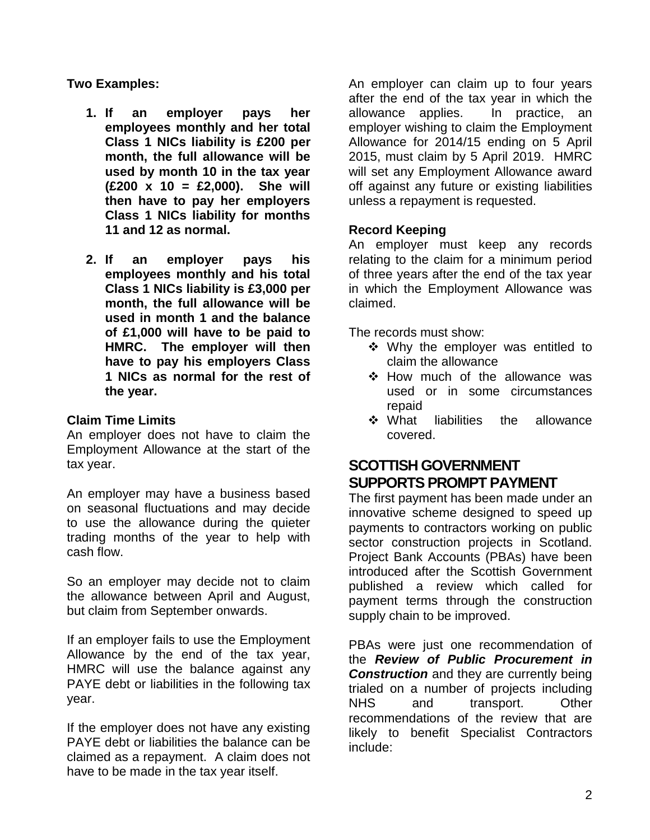**Two Examples:**

- **1. If an employer pays her employees monthly and her total Class 1 NICs liability is £200 per month, the full allowance will be used by month 10 in the tax year (£200 x 10 = £2,000). She will then have to pay her employers Class 1 NICs liability for months 11 and 12 as normal.**
- **2. If an employer pays his employees monthly and his total Class 1 NICs liability is £3,000 per month, the full allowance will be used in month 1 and the balance of £1,000 will have to be paid to HMRC. The employer will then have to pay his employers Class 1 NICs as normal for the rest of the year.**

#### **Claim Time Limits**

An employer does not have to claim the Employment Allowance at the start of the tax year.

An employer may have a business based on seasonal fluctuations and may decide to use the allowance during the quieter trading months of the year to help with cash flow.

So an employer may decide not to claim the allowance between April and August, but claim from September onwards.

If an employer fails to use the Employment Allowance by the end of the tax year, HMRC will use the balance against any PAYE debt or liabilities in the following tax year.

If the employer does not have any existing PAYE debt or liabilities the balance can be claimed as a repayment. A claim does not have to be made in the tax year itself.

An employer can claim up to four years after the end of the tax year in which the allowance applies. In practice, an employer wishing to claim the Employment Allowance for 2014/15 ending on 5 April 2015, must claim by 5 April 2019. HMRC will set any Employment Allowance award off against any future or existing liabilities unless a repayment is requested.

#### **Record Keeping**

An employer must keep any records relating to the claim for a minimum period of three years after the end of the tax year in which the Employment Allowance was claimed.

The records must show:

- Why the employer was entitled to claim the allowance
- ❖ How much of the allowance was used or in some circumstances repaid
- What liabilities the allowance covered.

# **SCOTTISH GOVERNMENT SUPPORTS PROMPT PAYMENT**

The first payment has been made under an innovative scheme designed to speed up payments to contractors working on public sector construction projects in Scotland. Project Bank Accounts (PBAs) have been introduced after the Scottish Government published a review which called for payment terms through the construction supply chain to be improved.

PBAs were just one recommendation of the *[Review of Public Procurement in](http://www.scotland.gov.uk/Publications/2013/10/2688/0)*  **[Construction](http://www.scotland.gov.uk/Publications/2013/10/2688/0)** and they are currently being trialed on a number of projects including NHS and transport. Other recommendations of the review that are likely to benefit Specialist Contractors include: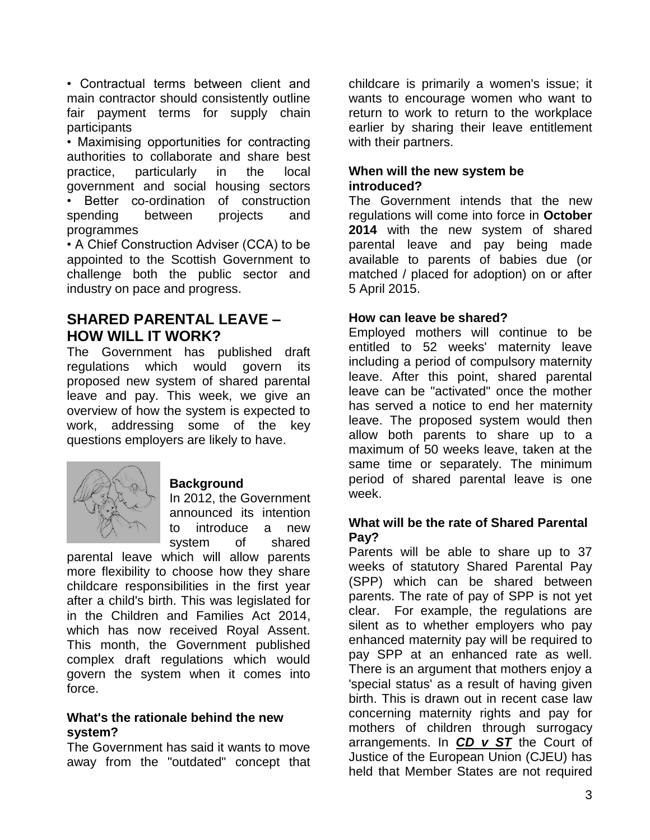• Contractual terms between client and main contractor should consistently outline fair payment terms for supply chain participants

• Maximising opportunities for contracting authorities to collaborate and share best practice, particularly in the local government and social housing sectors Better co-ordination of construction spending between projects and programmes

• A Chief Construction Adviser (CCA) to be appointed to the Scottish Government to challenge both the public sector and industry on pace and progress.

## **SHARED PARENTAL LEAVE – HOW WILL IT WORK?**

The Government has published draft regulations which would govern its proposed new system of shared parental leave and pay. This week, we give an overview of how the system is expected to work, addressing some of the key questions employers are likely to have.



### **Background**

In 2012, the Government announced its intention to introduce a new system of shared

parental leave which will allow parents more flexibility to choose how they share childcare responsibilities in the first year after a child's birth. This was legislated for in the Children and Families Act 2014, which has now received Royal Assent. This month, the Government published complex draft regulations which would govern the system when it comes into force.

#### **What's the rationale behind the new system?**

The Government has said it wants to move away from the "outdated" concept that childcare is primarily a women's issue; it wants to encourage women who want to return to work to return to the workplace earlier by sharing their leave entitlement with their partners.

#### **When will the new system be introduced?**

The Government intends that the new regulations will come into force in **October 2014** with the new system of shared parental leave and pay being made available to parents of babies due (or matched / placed for adoption) on or after 5 April 2015.

#### **How can leave be shared?**

Employed mothers will continue to be entitled to 52 weeks' maternity leave including a period of compulsory maternity leave. After this point, shared parental leave can be "activated" once the mother has served a notice to end her maternity leave. The proposed system would then allow both parents to share up to a maximum of 50 weeks leave, taken at the same time or separately. The minimum period of shared parental leave is one week.

#### **What will be the rate of Shared Parental Pay?**

Parents will be able to share up to 37 weeks of statutory Shared Parental Pay (SPP) which can be shared between parents. The rate of pay of SPP is not yet clear. For example, the regulations are silent as to whether employers who pay enhanced maternity pay will be required to pay SPP at an enhanced rate as well. There is an argument that mothers enjoy a 'special status' as a result of having given birth. This is drawn out in recent case law concerning maternity rights and pay for mothers of children through surrogacy arrangements. In *[CD v ST](http://curia.europa.eu/juris/document/document.jsf?text=&docid=149387&pageIndex=0&doclang=EN&mode=lst&dir=&occ=first&part=1&cid=411632)* the Court of Justice of the European Union (CJEU) has held that Member States are not required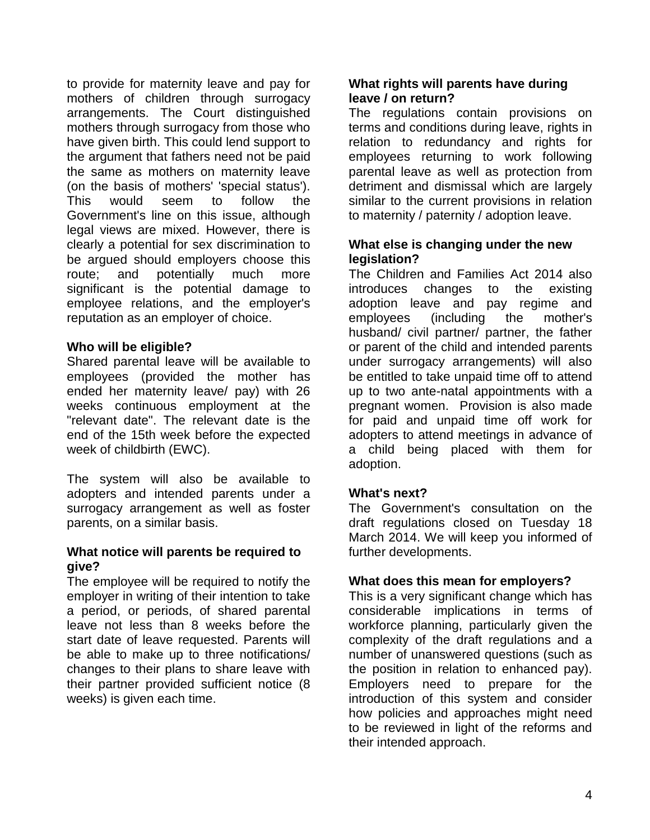to provide for maternity leave and pay for mothers of children through surrogacy arrangements. The Court distinguished mothers through surrogacy from those who have given birth. This could lend support to the argument that fathers need not be paid the same as mothers on maternity leave (on the basis of mothers' 'special status'). This would seem to follow the Government's line on this issue, although legal views are mixed. However, there is clearly a potential for sex discrimination to be argued should employers choose this route; and potentially much more significant is the potential damage to employee relations, and the employer's reputation as an employer of choice.

#### **Who will be eligible?**

Shared parental leave will be available to employees (provided the mother has ended her maternity leave/ pay) with 26 weeks continuous employment at the "relevant date". The relevant date is the end of the 15th week before the expected week of childbirth (EWC).

The system will also be available to adopters and intended parents under a surrogacy arrangement as well as foster parents, on a similar basis.

#### **What notice will parents be required to give?**

The employee will be required to notify the employer in writing of their intention to take a period, or periods, of shared parental leave not less than 8 weeks before the start date of leave requested. Parents will be able to make up to three notifications/ changes to their plans to share leave with their partner provided sufficient notice (8 weeks) is given each time.

#### **What rights will parents have during leave / on return?**

The regulations contain provisions on terms and conditions during leave, rights in relation to redundancy and rights for employees returning to work following parental leave as well as protection from detriment and dismissal which are largely similar to the current provisions in relation to maternity / paternity / adoption leave.

#### **What else is changing under the new legislation?**

The Children and Families Act 2014 also introduces changes to the existing adoption leave and pay regime and employees (including the mother's husband/ civil partner/ partner, the father or parent of the child and intended parents under surrogacy arrangements) will also be entitled to take unpaid time off to attend up to two ante-natal appointments with a pregnant women. Provision is also made for paid and unpaid time off work for adopters to attend meetings in advance of a child being placed with them for adoption.

#### **What's next?**

The Government's consultation on the draft regulations closed on Tuesday 18 March 2014. We will keep you informed of further developments.

#### **What does this mean for employers?**

This is a very significant change which has considerable implications in terms of workforce planning, particularly given the complexity of the draft regulations and a number of unanswered questions (such as the position in relation to enhanced pay). Employers need to prepare for the introduction of this system and consider how policies and approaches might need to be reviewed in light of the reforms and their intended approach.